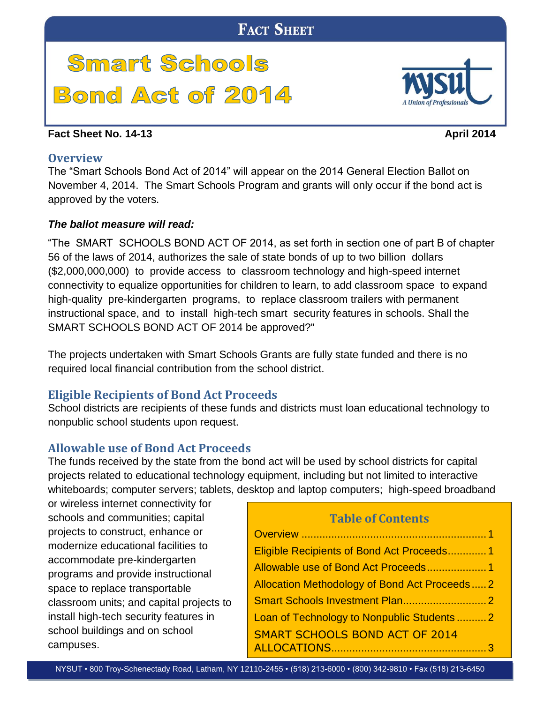# **Smart Schools Bond Act of 2014**

#### <span id="page-0-0"></span>**Fact Sheet No. 14-13 April** 2014

#### **Overview**

The "Smart Schools Bond Act of 2014" will appear on the 2014 General Election Ballot on November 4, 2014. The Smart Schools Program and grants will only occur if the bond act is approved by the voters.

### *The ballot measure will read:*

"The SMART SCHOOLS BOND ACT OF 2014, as set forth in section one of part B of chapter 56 of the laws of 2014, authorizes the sale of state bonds of up to two billion dollars (\$2,000,000,000) to provide access to classroom technology and high-speed internet connectivity to equalize opportunities for children to learn, to add classroom space to expand high-quality pre-kindergarten programs, to replace classroom trailers with permanent instructional space, and to install high-tech smart security features in schools. Shall the SMART SCHOOLS BOND ACT OF 2014 be approved?"

The projects undertaken with Smart Schools Grants are fully state funded and there is no required local financial contribution from the school district.

# <span id="page-0-1"></span>**Eligible Recipients of Bond Act Proceeds**

School districts are recipients of these funds and districts must loan educational technology to nonpublic school students upon request.

# <span id="page-0-2"></span>**Allowable use of Bond Act Proceeds**

The funds received by the state from the bond act will be used by school districts for capital projects related to educational technology equipment, including but not limited to interactive whiteboards; computer servers; tablets, desktop and laptop computers; high-speed broadband

or wireless internet connectivity for schools and communities; capital projects to construct, enhance or modernize educational facilities to accommodate pre-kindergarten programs and provide instructional space to replace transportable classroom units; and capital projects to install high-tech security features in school buildings and on school campuses.

# **Table of Contents**

| Eligible Recipients of Bond Act Proceeds1    |  |
|----------------------------------------------|--|
|                                              |  |
| Allocation Methodology of Bond Act Proceeds2 |  |
|                                              |  |
| Loan of Technology to Nonpublic Students  2  |  |
| <b>SMART SCHOOLS BOND ACT OF 2014</b>        |  |
|                                              |  |

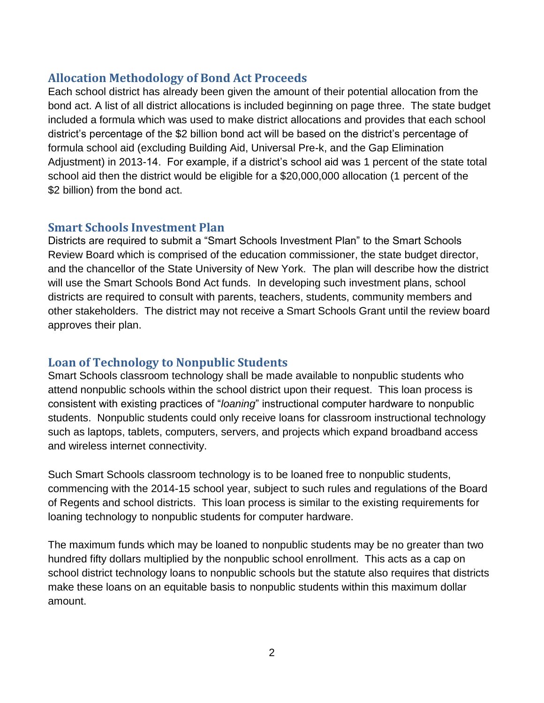#### <span id="page-1-0"></span>**Allocation Methodology of Bond Act Proceeds**

Each school district has already been given the amount of their potential allocation from the bond act. A list of all district allocations is included beginning on page three. The state budget included a formula which was used to make district allocations and provides that each school district's percentage of the \$2 billion bond act will be based on the district's percentage of formula school aid (excluding Building Aid, Universal Pre-k, and the Gap Elimination Adjustment) in 2013-14. For example, if a district's school aid was 1 percent of the state total school aid then the district would be eligible for a \$20,000,000 allocation (1 percent of the \$2 billion) from the bond act.

### <span id="page-1-1"></span>**Smart Schools Investment Plan**

Districts are required to submit a "Smart Schools Investment Plan" to the Smart Schools Review Board which is comprised of the education commissioner, the state budget director, and the chancellor of the State University of New York. The plan will describe how the district will use the Smart Schools Bond Act funds. In developing such investment plans, school districts are required to consult with parents, teachers, students, community members and other stakeholders. The district may not receive a Smart Schools Grant until the review board approves their plan.

# <span id="page-1-2"></span>**Loan of Technology to Nonpublic Students**

Smart Schools classroom technology shall be made available to nonpublic students who attend nonpublic schools within the school district upon their request. This loan process is consistent with existing practices of "*loaning*" instructional computer hardware to nonpublic students. Nonpublic students could only receive loans for classroom instructional technology such as laptops, tablets, computers, servers, and projects which expand broadband access and wireless internet connectivity.

Such Smart Schools classroom technology is to be loaned free to nonpublic students, commencing with the 2014-15 school year, subject to such rules and regulations of the Board of Regents and school districts. This loan process is similar to the existing requirements for loaning technology to nonpublic students for computer hardware.

The maximum funds which may be loaned to nonpublic students may be no greater than two hundred fifty dollars multiplied by the nonpublic school enrollment. This acts as a cap on school district technology loans to nonpublic schools but the statute also requires that districts make these loans on an equitable basis to nonpublic students within this maximum dollar amount.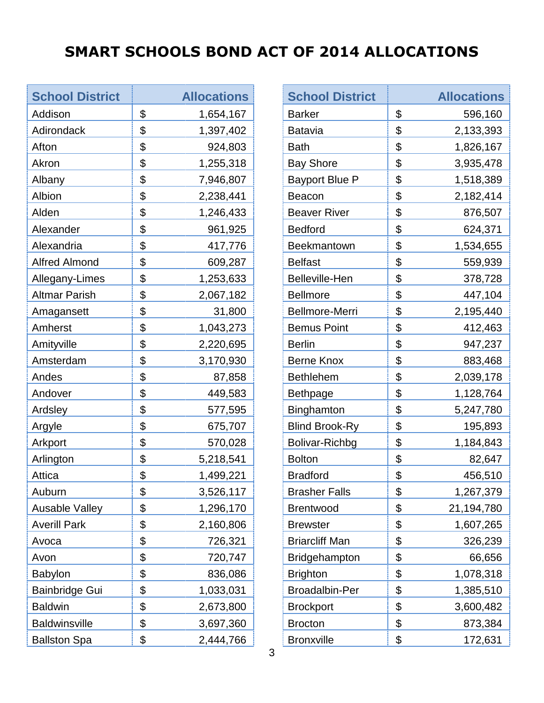# <span id="page-2-0"></span>**SMART SCHOOLS BOND ACT OF 2014 ALLOCATIONS**

 $\overline{\phantom{a}}$ 

| <b>School District</b> | <b>Allocations</b> |
|------------------------|--------------------|
| Addison                | \$<br>1,654,167    |
| Adirondack             | \$<br>1,397,402    |
| Afton                  | \$<br>924,803      |
| Akron                  | \$<br>1,255,318    |
| Albany                 | \$<br>7,946,807    |
| Albion                 | \$<br>2,238,441    |
| Alden                  | \$<br>1,246,433    |
| Alexander              | \$<br>961,925      |
| Alexandria             | \$<br>417,776      |
| <b>Alfred Almond</b>   | \$<br>609,287      |
| Allegany-Limes         | \$<br>1,253,633    |
| <b>Altmar Parish</b>   | \$<br>2,067,182    |
| Amagansett             | \$<br>31,800       |
| Amherst                | \$<br>1,043,273    |
| Amityville             | \$<br>2,220,695    |
| Amsterdam              | \$<br>3,170,930    |
| Andes                  | \$<br>87,858       |
| Andover                | \$<br>449,583      |
| Ardsley                | \$<br>577,595      |
| Argyle                 | \$<br>675,707      |
| Arkport                | \$<br>570,028      |
| Arlington              | \$<br>5,218,541    |
| Attica                 | \$<br>1,499,221    |
| Auburn                 | \$<br>3,526,117    |
| <b>Ausable Valley</b>  | \$<br>1,296,170    |
| <b>Averill Park</b>    | \$<br>2,160,806    |
| Avoca                  | \$<br>726,321      |
| Avon                   | \$<br>720,747      |
| Babylon                | \$<br>836,086      |
| <b>Bainbridge Gui</b>  | \$<br>1,033,031    |
| <b>Baldwin</b>         | \$<br>2,673,800    |
| <b>Baldwinsville</b>   | \$<br>3,697,360    |
| <b>Ballston Spa</b>    | \$<br>2,444,766    |

and the state

| <b>School District</b> | <b>Allocations</b> |
|------------------------|--------------------|
| <b>Barker</b>          | \$<br>596,160      |
| <b>Batavia</b>         | \$<br>2,133,393    |
| <b>Bath</b>            | \$<br>1,826,167    |
| <b>Bay Shore</b>       | \$<br>3,935,478    |
| <b>Bayport Blue P</b>  | \$<br>1,518,389    |
| Beacon                 | \$<br>2,182,414    |
| <b>Beaver River</b>    | \$<br>876,507      |
| <b>Bedford</b>         | \$<br>624,371      |
| <b>Beekmantown</b>     | \$<br>1,534,655    |
| <b>Belfast</b>         | \$<br>559,939      |
| <b>Belleville-Hen</b>  | \$<br>378,728      |
| <b>Bellmore</b>        | \$<br>447,104      |
| <b>Bellmore-Merri</b>  | \$<br>2,195,440    |
| <b>Bemus Point</b>     | \$<br>412,463      |
| <b>Berlin</b>          | \$<br>947,237      |
| <b>Berne Knox</b>      | \$<br>883,468      |
| <b>Bethlehem</b>       | \$<br>2,039,178    |
| <b>Bethpage</b>        | \$<br>1,128,764    |
| <b>Binghamton</b>      | \$<br>5,247,780    |
| <b>Blind Brook-Ry</b>  | \$<br>195,893      |
| Bolivar-Richbg         | \$<br>1,184,843    |
| <b>Bolton</b>          | \$<br>82,647       |
| <b>Bradford</b>        | \$<br>456,510      |
| <b>Brasher Falls</b>   | \$<br>1,267,379    |
| <b>Brentwood</b>       | \$<br>21,194,780   |
| <b>Brewster</b>        | \$<br>1,607,265    |
| <b>Briarcliff Man</b>  | \$<br>326,239      |
| <b>Bridgehampton</b>   | \$<br>66,656       |
| <b>Brighton</b>        | \$<br>1,078,318    |
| <b>Broadalbin-Per</b>  | \$<br>1,385,510    |
| <b>Brockport</b>       | \$<br>3,600,482    |
| <b>Brocton</b>         | \$<br>873,384      |
| <b>Bronxville</b>      | \$<br>172,631      |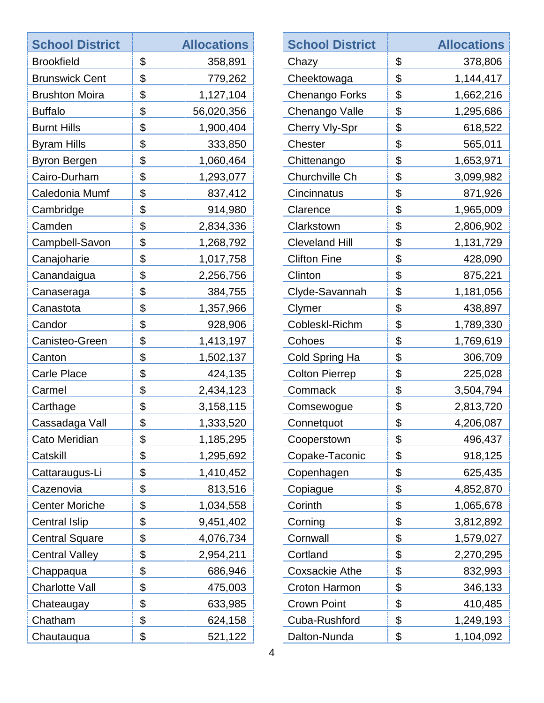| <b>School District</b> | <b>Allocations</b> | <b>School District</b> |                           | <b>Allocations</b> |
|------------------------|--------------------|------------------------|---------------------------|--------------------|
| <b>Brookfield</b>      | \$<br>358,891      | Chazy                  | \$                        | 378,806            |
| <b>Brunswick Cent</b>  | \$<br>779,262      | Cheektowaga            | \$                        | 1,144,417          |
| <b>Brushton Moira</b>  | \$<br>1,127,104    | Chenango Forks         | \$                        | 1,662,216          |
| <b>Buffalo</b>         | \$<br>56,020,356   | Chenango Valle         | \$                        | 1,295,686          |
| <b>Burnt Hills</b>     | \$<br>1,900,404    | Cherry Vly-Spr         | \$                        | 618,522            |
| <b>Byram Hills</b>     | \$<br>333,850      | Chester                | \$                        | 565,011            |
| <b>Byron Bergen</b>    | \$<br>1,060,464    | Chittenango            | \$                        | 1,653,971          |
| Cairo-Durham           | \$<br>1,293,077    | Churchville Ch         | \$                        | 3,099,982          |
| Caledonia Mumf         | \$<br>837,412      | Cincinnatus            | $\boldsymbol{\mathsf{S}}$ | 871,926            |
| Cambridge              | \$<br>914,980      | Clarence               | \$                        | 1,965,009          |
| Camden                 | \$<br>2,834,336    | Clarkstown             | \$                        | 2,806,902          |
| Campbell-Savon         | \$<br>1,268,792    | <b>Cleveland Hill</b>  | \$                        | 1,131,729          |
| Canajoharie            | \$<br>1,017,758    | <b>Clifton Fine</b>    | \$                        | 428,090            |
| Canandaigua            | \$<br>2,256,756    | Clinton                | \$                        | 875,221            |
| Canaseraga             | \$<br>384,755      | Clyde-Savannah         | \$                        | 1,181,056          |
| Canastota              | \$<br>1,357,966    | Clymer                 | \$                        | 438,897            |
| Candor                 | \$<br>928,906      | Cobleskl-Richm         | \$                        | 1,789,330          |
| Canisteo-Green         | \$<br>1,413,197    | Cohoes                 | \$                        | 1,769,619          |
| Canton                 | \$<br>1,502,137    | Cold Spring Ha         | \$                        | 306,709            |
| <b>Carle Place</b>     | \$<br>424,135      | <b>Colton Pierrep</b>  | $\boldsymbol{\mathsf{S}}$ | 225,028            |
| Carmel                 | \$<br>2,434,123    | Commack                | $\boldsymbol{\mathsf{S}}$ | 3,504,794          |
| Carthage               | \$<br>3,158,115    | Comsewogue             | $\boldsymbol{\theta}$     | 2,813,720          |
| Cassadaga Vall         | \$<br>1,333,520    | Connetquot             | \$                        | 4,206,087          |
| Cato Meridian          | \$<br>1,185,295    | Cooperstown            | \$                        | 496,437            |
| Catskill               | \$<br>1,295,692    | Copake-Taconic         | \$                        | 918,125            |
| Cattaraugus-Li         | \$<br>1,410,452    | Copenhagen             | \$                        | 625,435            |
| Cazenovia              | \$<br>813,516      | Copiague               | \$                        | 4,852,870          |
| <b>Center Moriche</b>  | \$<br>1,034,558    | Corinth                | \$                        | 1,065,678          |
| <b>Central Islip</b>   | \$<br>9,451,402    | Corning                | \$                        | 3,812,892          |
| <b>Central Square</b>  | \$<br>4,076,734    | Cornwall               | $\boldsymbol{\mathsf{S}}$ | 1,579,027          |
| <b>Central Valley</b>  | \$<br>2,954,211    | Cortland               | \$                        | 2,270,295          |
| Chappaqua              | \$<br>686,946      | <b>Coxsackie Athe</b>  | \$                        | 832,993            |
| <b>Charlotte Vall</b>  | \$<br>475,003      | Croton Harmon          | $\boldsymbol{\theta}$     | 346,133            |
| Chateaugay             | \$<br>633,985      | <b>Crown Point</b>     | $\boldsymbol{\mathsf{S}}$ | 410,485            |
| Chatham                | \$<br>624,158      | Cuba-Rushford          | \$                        | 1,249,193          |
| Chautauqua             | \$<br>521,122      | Dalton-Nunda           | \$                        | 1,104,092          |
|                        |                    |                        |                           |                    |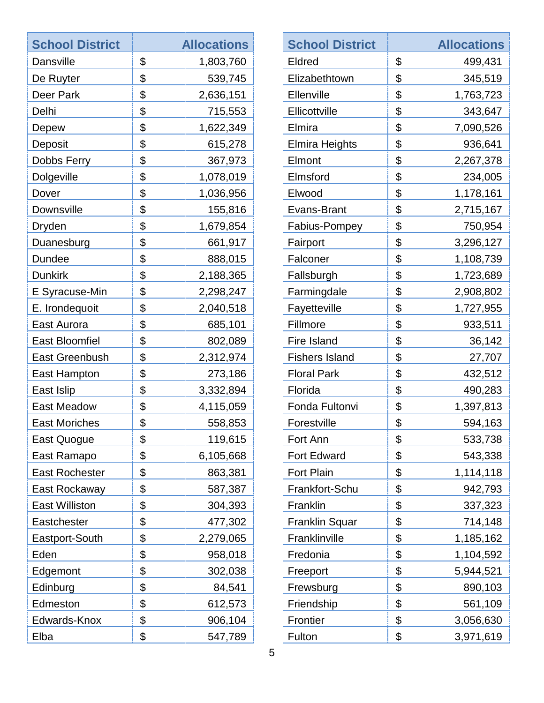| <b>School District</b> | <b>Allocations</b> |
|------------------------|--------------------|
| <b>Dansville</b>       | \$<br>1,803,760    |
| De Ruyter              | \$<br>539,745      |
| Deer Park              | \$<br>2,636,151    |
| Delhi                  | \$<br>715,553      |
| Depew                  | \$<br>1,622,349    |
| Deposit                | \$<br>615,278      |
| Dobbs Ferry            | \$<br>367,973      |
| Dolgeville             | \$<br>1,078,019    |
| Dover                  | \$<br>1,036,956    |
| Downsville             | \$<br>155,816      |
| Dryden                 | \$<br>1,679,854    |
| Duanesburg             | \$<br>661,917      |
| <b>Dundee</b>          | \$<br>888,015      |
| <b>Dunkirk</b>         | \$<br>2,188,365    |
| E Syracuse-Min         | \$<br>2,298,247    |
| E. Irondequoit         | \$<br>2,040,518    |
| East Aurora            | \$<br>685,101      |
| <b>East Bloomfiel</b>  | \$<br>802,089      |
| <b>East Greenbush</b>  | \$<br>2,312,974    |
| East Hampton           | \$<br>273,186      |
| East Islip             | \$<br>3,332,894    |
| <b>East Meadow</b>     | \$<br>4,115,059    |
| <b>East Moriches</b>   | \$<br>558,853      |
| East Quogue            | \$<br>119,615      |
| East Ramapo            | \$<br>6,105,668    |
| <b>East Rochester</b>  | \$<br>863,381      |
| East Rockaway          | \$<br>587,387      |
| <b>East Williston</b>  | \$<br>304,393      |
| Eastchester            | \$<br>477,302      |
| Eastport-South         | \$<br>2,279,065    |
| Eden                   | \$<br>958,018      |
| Edgemont               | \$<br>302,038      |
| Edinburg               | \$<br>84,541       |
| Edmeston               | \$<br>612,573      |
| Edwards-Knox           | \$<br>906,104      |
| Elba                   | \$<br>547,789      |

| <b>School District</b> | <b>Allocations</b> |
|------------------------|--------------------|
| Eldred                 | \$<br>499,431      |
| Elizabethtown          | \$<br>345,519      |
| Ellenville             | \$<br>1,763,723    |
| Ellicottville          | \$<br>343,647      |
| Elmira                 | \$<br>7,090,526    |
| <b>Elmira Heights</b>  | \$<br>936,641      |
| Elmont                 | \$<br>2,267,378    |
| Elmsford               | \$<br>234,005      |
| Elwood                 | \$<br>1,178,161    |
| Evans-Brant            | \$<br>2,715,167    |
| <b>Fabius-Pompey</b>   | \$<br>750,954      |
| Fairport               | \$<br>3,296,127    |
| Falconer               | \$<br>1,108,739    |
| Fallsburgh             | \$<br>1,723,689    |
| Farmingdale            | \$<br>2,908,802    |
| Fayetteville           | \$<br>1,727,955    |
| Fillmore               | \$<br>933,511      |
| <b>Fire Island</b>     | \$<br>36,142       |
| <b>Fishers Island</b>  | \$<br>27,707       |
| <b>Floral Park</b>     | \$<br>432,512      |
| Florida                | \$<br>490,283      |
| Fonda Fultonvi         | \$<br>1,397,813    |
| Forestville            | \$<br>594,163      |
| Fort Ann               | \$<br>533,738      |
| <b>Fort Edward</b>     | \$<br>543,338      |
| <b>Fort Plain</b>      | \$<br>1,114,118    |
| Frankfort-Schu         | \$<br>942,793      |
| Franklin               | \$<br>337,323      |
| <b>Franklin Squar</b>  | \$<br>714,148      |
| Franklinville          | \$<br>1,185,162    |
| Fredonia               | \$<br>1,104,592    |
| Freeport               | \$<br>5,944,521    |
| Frewsburg              | \$<br>890,103      |
| Friendship             | \$<br>561,109      |
| Frontier               | \$<br>3,056,630    |
| Fulton                 | \$<br>3,971,619    |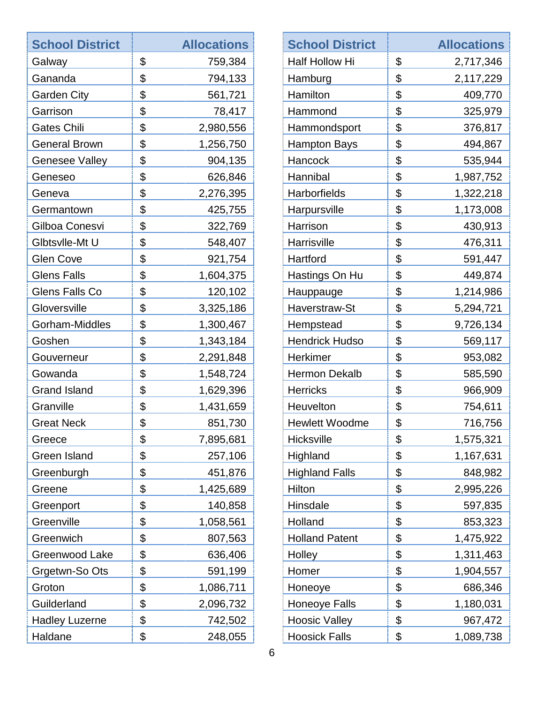| <b>School District</b> | <b>Allocations</b> | <b>School District</b> |                       | <b>Allocations</b> |
|------------------------|--------------------|------------------------|-----------------------|--------------------|
| Galway                 | \$<br>759,384      | Half Hollow Hi         | \$                    | 2,717,346          |
| Gananda                | \$<br>794,133      | Hamburg                | \$                    | 2,117,229          |
| <b>Garden City</b>     | \$<br>561,721      | Hamilton               | \$                    | 409,770            |
| Garrison               | \$<br>78,417       | Hammond                | \$                    | 325,979            |
| <b>Gates Chili</b>     | \$<br>2,980,556    | Hammondsport           | \$                    | 376,817            |
| <b>General Brown</b>   | \$<br>1,256,750    | <b>Hampton Bays</b>    | \$                    | 494,867            |
| <b>Genesee Valley</b>  | \$<br>904,135      | Hancock                | \$                    | 535,944            |
| Geneseo                | \$<br>626,846      | Hannibal               | \$                    | 1,987,752          |
| Geneva                 | \$<br>2,276,395    | Harborfields           | \$                    | 1,322,218          |
| Germantown             | \$<br>425,755      | Harpursville           | \$                    | 1,173,008          |
| Gilboa Conesvi         | \$<br>322,769      | Harrison               | \$                    | 430,913            |
| Glbtsvlle-Mt U         | \$<br>548,407      | Harrisville            | \$                    | 476,311            |
| <b>Glen Cove</b>       | \$<br>921,754      | Hartford               | \$                    | 591,447            |
| <b>Glens Falls</b>     | \$<br>1,604,375    | Hastings On Hu         | \$                    | 449,874            |
| Glens Falls Co         | \$<br>120,102      | Hauppauge              | \$                    | 1,214,986          |
| Gloversville           | \$<br>3,325,186    | Haverstraw-St          | \$                    | 5,294,721          |
| Gorham-Middles         | \$<br>1,300,467    | Hempstead              | \$                    | 9,726,134          |
| Goshen                 | \$<br>1,343,184    | <b>Hendrick Hudso</b>  | \$                    | 569,117            |
| Gouverneur             | \$<br>2,291,848    | Herkimer               | \$                    | 953,082            |
| Gowanda                | \$<br>1,548,724    | <b>Hermon Dekalb</b>   | \$                    | 585,590            |
| <b>Grand Island</b>    | \$<br>1,629,396    | <b>Herricks</b>        | \$                    | 966,909            |
| Granville              | \$<br>1,431,659    | Heuvelton              | \$                    | 754,611            |
| <b>Great Neck</b>      | \$<br>851,730      | <b>Hewlett Woodme</b>  | \$                    | 716,756            |
| Greece                 | \$<br>7,895,681    | Hicksville             | \$                    | 1,575,321          |
| Green Island           | \$<br>257,106      | Highland               | \$                    | 1,167,631          |
| Greenburgh             | \$<br>451,876      | <b>Highland Falls</b>  | \$                    | 848,982            |
| Greene                 | \$<br>1,425,689    | Hilton                 | \$                    | 2,995,226          |
| Greenport              | \$<br>140,858      | Hinsdale               | \$                    | 597,835            |
| Greenville             | \$<br>1,058,561    | Holland                | \$                    | 853,323            |
| Greenwich              | \$<br>807,563      | <b>Holland Patent</b>  | $\boldsymbol{\theta}$ | 1,475,922          |
| Greenwood Lake         | \$<br>636,406      | Holley                 | \$                    | 1,311,463          |
| Grgetwn-So Ots         | \$<br>591,199      | Homer                  | \$                    | 1,904,557          |
| Groton                 | \$<br>1,086,711    | Honeoye                | \$                    | 686,346            |
| Guilderland            | \$<br>2,096,732    | <b>Honeoye Falls</b>   | \$                    | 1,180,031          |
| <b>Hadley Luzerne</b>  | \$<br>742,502      | <b>Hoosic Valley</b>   | \$                    | 967,472            |
| Haldane                | \$<br>248,055      | <b>Hoosick Falls</b>   | \$                    | 1,089,738          |
|                        |                    |                        |                       |                    |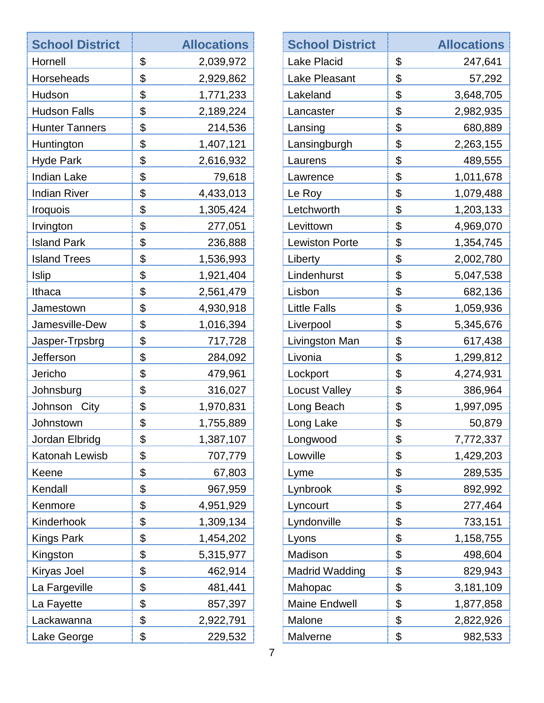| <b>School District</b> | <b>Allocations</b> | <b>School District</b> | <b>Allocations</b> |
|------------------------|--------------------|------------------------|--------------------|
| Hornell                | \$<br>2,039,972    | <b>Lake Placid</b>     | \$<br>247,641      |
| Horseheads             | \$<br>2,929,862    | Lake Pleasant          | \$<br>57,292       |
| Hudson                 | \$<br>1,771,233    | Lakeland               | \$<br>3,648,705    |
| <b>Hudson Falls</b>    | \$<br>2,189,224    | Lancaster              | \$<br>2,982,935    |
| <b>Hunter Tanners</b>  | \$<br>214,536      | Lansing                | \$<br>680,889      |
| Huntington             | \$<br>1,407,121    | Lansingburgh           | \$<br>2,263,155    |
| <b>Hyde Park</b>       | \$<br>2,616,932    | Laurens                | \$<br>489,555      |
| <b>Indian Lake</b>     | \$<br>79,618       | Lawrence               | \$<br>1,011,678    |
| <b>Indian River</b>    | \$<br>4,433,013    | Le Roy                 | \$<br>1,079,488    |
| <b>Iroquois</b>        | \$<br>1,305,424    | Letchworth             | \$<br>1,203,133    |
| Irvington              | \$<br>277,051      | Levittown              | \$<br>4,969,070    |
| <b>Island Park</b>     | \$<br>236,888      | <b>Lewiston Porte</b>  | \$<br>1,354,745    |
| <b>Island Trees</b>    | \$<br>1,536,993    | Liberty                | \$<br>2,002,780    |
| <b>Islip</b>           | \$<br>1,921,404    | Lindenhurst            | \$<br>5,047,538    |
| Ithaca                 | \$<br>2,561,479    | Lisbon                 | \$<br>682,136      |
| Jamestown              | \$<br>4,930,918    | <b>Little Falls</b>    | \$<br>1,059,936    |
| Jamesville-Dew         | \$<br>1,016,394    | Liverpool              | \$<br>5,345,676    |
| Jasper-Trpsbrg         | \$<br>717,728      | Livingston Man         | \$<br>617,438      |
| Jefferson              | \$<br>284,092      | Livonia                | \$<br>1,299,812    |
| Jericho                | \$<br>479,961      | Lockport               | \$<br>4,274,931    |
| Johnsburg              | \$<br>316,027      | <b>Locust Valley</b>   | \$<br>386,964      |
| Johnson<br>City        | \$<br>1,970,831    | Long Beach             | \$<br>1,997,095    |
| Johnstown              | \$<br>1,755,889    | Long Lake              | \$<br>50,879       |
| Jordan Elbridg         | \$<br>1,387,107    | Longwood               | \$<br>7,772,337    |
| Katonah Lewisb         | \$<br>707,779      | Lowville               | \$<br>1,429,203    |
| Keene                  | \$<br>67,803       | Lyme                   | \$<br>289,535      |
| Kendall                | \$<br>967,959      | Lynbrook               | \$<br>892,992      |
| Kenmore                | \$<br>4,951,929    | Lyncourt               | \$<br>277,464      |
| Kinderhook             | \$<br>1,309,134    | Lyndonville            | \$<br>733,151      |
| <b>Kings Park</b>      | \$<br>1,454,202    | Lyons                  | \$<br>1,158,755    |
| Kingston               | \$<br>5,315,977    | Madison                | \$<br>498,604      |
| Kiryas Joel            | \$<br>462,914      | <b>Madrid Wadding</b>  | \$<br>829,943      |
| La Fargeville          | \$<br>481,441      | Mahopac                | \$<br>3,181,109    |
| La Fayette             | \$<br>857,397      | <b>Maine Endwell</b>   | \$<br>1,877,858    |
| Lackawanna             | \$<br>2,922,791    | Malone                 | \$<br>2,822,926    |
| Lake George            | \$<br>229,532      | Malverne               | \$<br>982,533      |
|                        |                    |                        |                    |

ł

1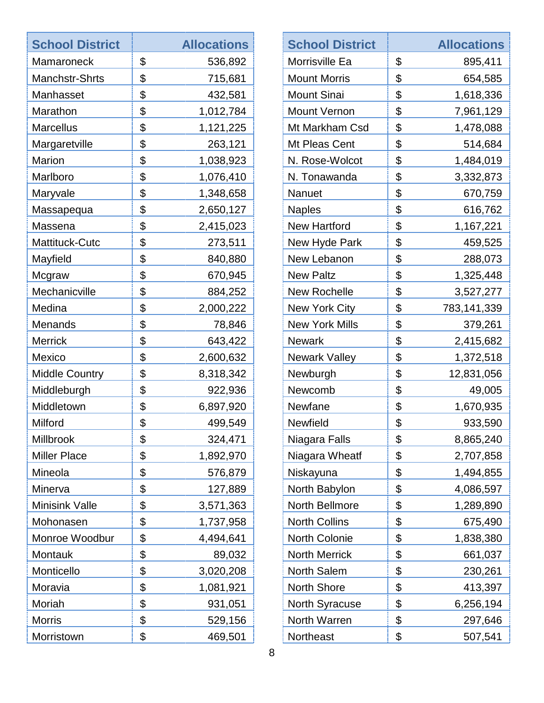| <b>School District</b> | <b>Allocations</b> | <b>School District</b> |
|------------------------|--------------------|------------------------|
| Mamaroneck             | \$<br>536,892      | Morrisville Ea         |
| <b>Manchstr-Shrts</b>  | \$<br>715,681      | <b>Mount Morris</b>    |
| Manhasset              | \$<br>432,581      | <b>Mount Sinai</b>     |
| Marathon               | \$<br>1,012,784    | <b>Mount Vernon</b>    |
| <b>Marcellus</b>       | \$<br>1,121,225    | Mt Markham Csd         |
| Margaretville          | \$<br>263,121      | Mt Pleas Cent          |
| <b>Marion</b>          | \$<br>1,038,923    | N. Rose-Wolcot         |
| Marlboro               | \$<br>1,076,410    | N. Tonawanda           |
| Maryvale               | \$<br>1,348,658    | <b>Nanuet</b>          |
| Massapequa             | \$<br>2,650,127    | <b>Naples</b>          |
| Massena                | \$<br>2,415,023    | <b>New Hartford</b>    |
| Mattituck-Cutc         | \$<br>273,511      | New Hyde Park          |
| Mayfield               | \$<br>840,880      | New Lebanon            |
| Mcgraw                 | \$<br>670,945      | <b>New Paltz</b>       |
| Mechanicville          | \$<br>884,252      | <b>New Rochelle</b>    |
| Medina                 | \$<br>2,000,222    | <b>New York City</b>   |
| Menands                | \$<br>78,846       | <b>New York Mills</b>  |
| <b>Merrick</b>         | \$<br>643,422      | <b>Newark</b>          |
| Mexico                 | \$<br>2,600,632    | Newark Valley          |
| <b>Middle Country</b>  | \$<br>8,318,342    | Newburgh               |
| Middleburgh            | \$<br>922,936      | Newcomb                |
| Middletown             | \$<br>6,897,920    | Newfane                |
| Milford                | \$<br>499,549      | <b>Newfield</b>        |
| Millbrook              | \$<br>324,471      | Niagara Falls          |
| <b>Miller Place</b>    | \$<br>1,892,970    | Niagara Wheatf         |
| Mineola                | \$<br>576,879      | Niskayuna              |
| Minerva                | \$<br>127,889      | North Babylon          |
| <b>Minisink Valle</b>  | \$<br>3,571,363    | North Bellmore         |
| Mohonasen              | \$<br>1,737,958    | <b>North Collins</b>   |
| Monroe Woodbur         | \$<br>4,494,641    | North Colonie          |
| Montauk                | \$<br>89,032       | <b>North Merrick</b>   |
| Monticello             | \$<br>3,020,208    | North Salem            |
| Moravia                | \$<br>1,081,921    | <b>North Shore</b>     |
| Moriah                 | \$<br>931,051      | North Syracuse         |
| <b>Morris</b>          | \$<br>529,156      | North Warren           |
| Morristown             | \$<br>469,501      | Northeast              |

| <b>School District</b> | <b>Allocations</b> |
|------------------------|--------------------|
| Morrisville Ea         | \$<br>895,411      |
| <b>Mount Morris</b>    | \$<br>654,585      |
| <b>Mount Sinai</b>     | \$<br>1,618,336    |
| <b>Mount Vernon</b>    | \$<br>7,961,129    |
| Mt Markham Csd         | \$<br>1,478,088    |
| Mt Pleas Cent          | \$<br>514,684      |
| N. Rose-Wolcot         | \$<br>1,484,019    |
| N. Tonawanda           | \$<br>3,332,873    |
| Nanuet                 | \$<br>670,759      |
| <b>Naples</b>          | \$<br>616,762      |
| <b>New Hartford</b>    | \$<br>1,167,221    |
| New Hyde Park          | \$<br>459,525      |
| New Lebanon            | \$<br>288,073      |
| <b>New Paltz</b>       | \$<br>1,325,448    |
| <b>New Rochelle</b>    | \$<br>3,527,277    |
| New York City          | \$<br>783,141,339  |
| <b>New York Mills</b>  | \$<br>379,261      |
| <b>Newark</b>          | \$<br>2,415,682    |
| <b>Newark Valley</b>   | \$<br>1,372,518    |
| Newburgh               | \$<br>12,831,056   |
| Newcomb                | \$<br>49,005       |
| Newfane                | \$<br>1,670,935    |
| <b>Newfield</b>        | \$<br>933,590      |
| Niagara Falls          | \$<br>8,865,240    |
| Niagara Wheatf         | \$<br>2,707,858    |
| Niskayuna              | \$<br>1,494,855    |
| North Babylon          | \$<br>4,086,597    |
| North Bellmore         | \$<br>1,289,890    |
| <b>North Collins</b>   | \$<br>675,490      |
| North Colonie          | \$<br>1,838,380    |
| <b>North Merrick</b>   | \$<br>661,037      |
| <b>North Salem</b>     | \$<br>230,261      |
| <b>North Shore</b>     | \$<br>413,397      |
| North Syracuse         | \$<br>6,256,194    |
| North Warren           | \$<br>297,646      |
| Northeast              | \$<br>507,541      |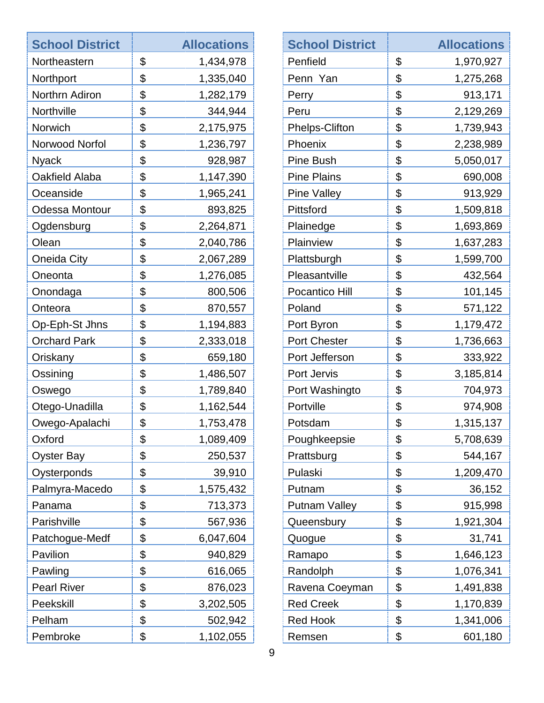| <b>School District</b> | <b>Allocations</b> | <b>School Distric</b> |
|------------------------|--------------------|-----------------------|
| Northeastern           | \$<br>1,434,978    | Penfield              |
| Northport              | \$<br>1,335,040    | Penn Yan              |
| Northrn Adiron         | \$<br>1,282,179    | Perry                 |
| Northville             | \$<br>344,944      | Peru                  |
| Norwich                | \$<br>2,175,975    | Phelps-Clifton        |
| Norwood Norfol         | \$<br>1,236,797    | Phoenix               |
| <b>Nyack</b>           | \$<br>928,987      | <b>Pine Bush</b>      |
| Oakfield Alaba         | \$<br>1,147,390    | <b>Pine Plains</b>    |
| Oceanside              | \$<br>1,965,241    | <b>Pine Valley</b>    |
| Odessa Montour         | \$<br>893,825      | Pittsford             |
| Ogdensburg             | \$<br>2,264,871    | Plainedge             |
| Olean                  | \$<br>2,040,786    | Plainview             |
| Oneida City            | \$<br>2,067,289    | Plattsburgh           |
| Oneonta                | \$<br>1,276,085    | Pleasantville         |
| Onondaga               | \$<br>800,506      | Pocantico Hill        |
| Onteora                | \$<br>870,557      | Poland                |
| Op-Eph-St Jhns         | \$<br>1,194,883    | Port Byron            |
| <b>Orchard Park</b>    | \$<br>2,333,018    | <b>Port Chester</b>   |
| Oriskany               | \$<br>659,180      | Port Jefferson        |
| Ossining               | \$<br>1,486,507    | Port Jervis           |
| Oswego                 | \$<br>1,789,840    | Port Washingto        |
| Otego-Unadilla         | \$<br>1,162,544    | Portville             |
| Owego-Apalachi         | \$<br>1,753,478    | Potsdam               |
| Oxford                 | \$<br>1,089,409    | Poughkeepsie          |
| <b>Oyster Bay</b>      | \$<br>250,537      | Prattsburg            |
| Oysterponds            | \$<br>39,910       | Pulaski               |
| Palmyra-Macedo         | \$<br>1,575,432    | Putnam                |
| Panama                 | \$<br>713,373      | <b>Putnam Valley</b>  |
| Parishville            | \$<br>567,936      | Queensbury            |
| Patchogue-Medf         | \$<br>6,047,604    | Quogue                |
| Pavilion               | \$<br>940,829      | Ramapo                |
| Pawling                | \$<br>616,065      | Randolph              |
| <b>Pearl River</b>     | \$<br>876,023      | Ravena Coeymar        |
| Peekskill              | \$<br>3,202,505    | <b>Red Creek</b>      |
| Pelham                 | \$<br>502,942      | <b>Red Hook</b>       |
| Pembroke               | \$<br>1,102,055    | Remsen                |
|                        |                    |                       |

| <b>School District</b> | <b>Allocations</b> |
|------------------------|--------------------|
| Penfield               | \$<br>1,970,927    |
| Penn Yan               | \$<br>1,275,268    |
| Perry                  | \$<br>913,171      |
| Peru                   | \$<br>2,129,269    |
| <b>Phelps-Clifton</b>  | \$<br>1,739,943    |
| Phoenix                | \$<br>2,238,989    |
| <b>Pine Bush</b>       | \$<br>5,050,017    |
| <b>Pine Plains</b>     | \$<br>690,008      |
| <b>Pine Valley</b>     | \$<br>913,929      |
| Pittsford              | \$<br>1,509,818    |
| Plainedge              | \$<br>1,693,869    |
| Plainview              | \$<br>1,637,283    |
| Plattsburgh            | \$<br>1,599,700    |
| Pleasantville          | \$<br>432,564      |
| Pocantico Hill         | \$<br>101,145      |
| Poland                 | \$<br>571,122      |
| Port Byron             | \$<br>1,179,472    |
| <b>Port Chester</b>    | \$<br>1,736,663    |
| Port Jefferson         | \$<br>333,922      |
| Port Jervis            | \$<br>3,185,814    |
| Port Washingto         | \$<br>704,973      |
| Portville              | \$<br>974,908      |
| Potsdam                | \$<br>1,315,137    |
| Poughkeepsie           | \$<br>5,708,639    |
| Prattsburg             | \$<br>544,167      |
| Pulaski                | \$<br>1,209,470    |
| Putnam                 | \$<br>36,152       |
| <b>Putnam Valley</b>   | \$<br>915,998      |
| Queensbury             | \$<br>1,921,304    |
| Quogue                 | \$<br>31,741       |
| Ramapo                 | \$<br>1,646,123    |
| Randolph               | \$<br>1,076,341    |
| Ravena Coeyman         | \$<br>1,491,838    |
| <b>Red Creek</b>       | \$<br>1,170,839    |
| <b>Red Hook</b>        | \$<br>1,341,006    |
| Remsen                 | \$<br>601,180      |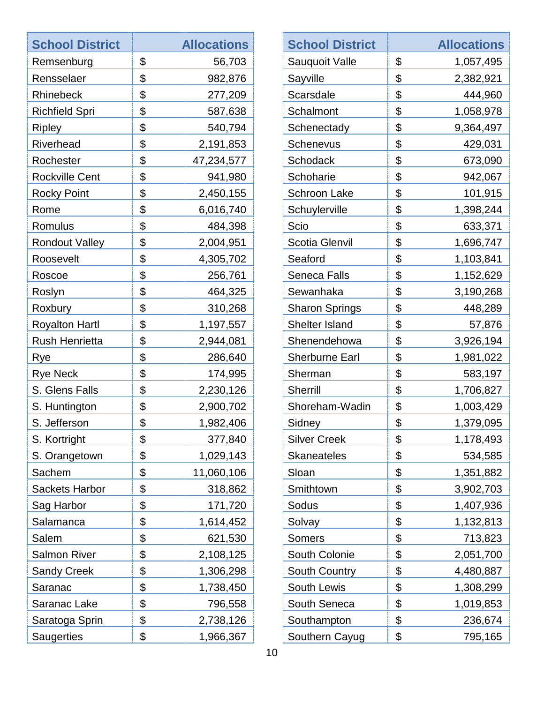| <b>School District</b> | <b>Allocations</b> | <b>School District</b> | <b>Allocations</b> |
|------------------------|--------------------|------------------------|--------------------|
| Remsenburg             | \$<br>56,703       | Sauquoit Valle         | \$<br>1,057,495    |
| Rensselaer             | \$<br>982,876      | Sayville               | \$<br>2,382,921    |
| Rhinebeck              | \$<br>277,209      | Scarsdale              | \$<br>444,960      |
| <b>Richfield Spri</b>  | \$<br>587,638      | Schalmont              | \$<br>1,058,978    |
| <b>Ripley</b>          | \$<br>540,794      | Schenectady            | \$<br>9,364,497    |
| Riverhead              | \$<br>2,191,853    | <b>Schenevus</b>       | \$<br>429,031      |
| Rochester              | \$<br>47,234,577   | Schodack               | \$<br>673,090      |
| <b>Rockville Cent</b>  | \$<br>941,980      | Schoharie              | \$<br>942,067      |
| <b>Rocky Point</b>     | \$<br>2,450,155    | <b>Schroon Lake</b>    | \$<br>101,915      |
| Rome                   | \$<br>6,016,740    | Schuylerville          | \$<br>1,398,244    |
| Romulus                | \$<br>484,398      | Scio                   | \$<br>633,371      |
| <b>Rondout Valley</b>  | \$<br>2,004,951    | <b>Scotia Glenvil</b>  | \$<br>1,696,747    |
| Roosevelt              | \$<br>4,305,702    | Seaford                | \$<br>1,103,841    |
| Roscoe                 | \$<br>256,761      | Seneca Falls           | \$<br>1,152,629    |
| Roslyn                 | \$<br>464,325      | Sewanhaka              | \$<br>3,190,268    |
| Roxbury                | \$<br>310,268      | <b>Sharon Springs</b>  | \$<br>448,289      |
| <b>Royalton Hartl</b>  | \$<br>1,197,557    | Shelter Island         | \$<br>57,876       |
| <b>Rush Henrietta</b>  | \$<br>2,944,081    | Shenendehowa           | \$<br>3,926,194    |
| Rye                    | \$<br>286,640      | <b>Sherburne Earl</b>  | \$<br>1,981,022    |
| <b>Rye Neck</b>        | \$<br>174,995      | Sherman                | \$<br>583,197      |
| S. Glens Falls         | \$<br>2,230,126    | Sherrill               | \$<br>1,706,827    |
| S. Huntington          | \$<br>2,900,702    | Shoreham-Wadin         | \$<br>1,003,429    |
| S. Jefferson           | \$<br>1,982,406    | Sidney                 | \$<br>1,379,095    |
| S. Kortright           | \$<br>377,840      | <b>Silver Creek</b>    | \$<br>1,178,493    |
| S. Orangetown          | \$<br>1,029,143    | <b>Skaneateles</b>     | \$<br>534,585      |
| Sachem                 | \$<br>11,060,106   | Sloan                  | \$<br>1,351,882    |
| <b>Sackets Harbor</b>  | \$<br>318,862      | Smithtown              | \$<br>3,902,703    |
| Sag Harbor             | \$<br>171,720      | Sodus                  | \$<br>1,407,936    |
| Salamanca              | \$<br>1,614,452    | Solvay                 | \$<br>1,132,813    |
| Salem                  | \$<br>621,530      | <b>Somers</b>          | \$<br>713,823      |
| <b>Salmon River</b>    | \$<br>2,108,125    | South Colonie          | \$<br>2,051,700    |
| <b>Sandy Creek</b>     | \$<br>1,306,298    | South Country          | \$<br>4,480,887    |
| Saranac                | \$<br>1,738,450    | South Lewis            | \$<br>1,308,299    |
| Saranac Lake           | \$<br>796,558      | South Seneca           | \$<br>1,019,853    |
| Saratoga Sprin         | \$<br>2,738,126    | Southampton            | \$<br>236,674      |
| <b>Saugerties</b>      | \$<br>1,966,367    | Southern Cayug         | \$<br>795,165      |
|                        |                    |                        |                    |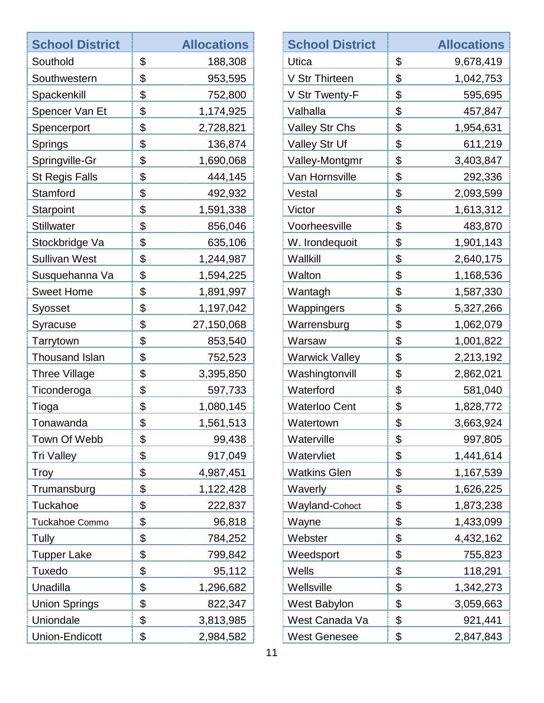| <b>School District</b> | <b>Allocations</b> | <b>School District</b> |
|------------------------|--------------------|------------------------|
| Southold               | \$<br>188,308      | Utica                  |
| Southwestern           | \$<br>953,595      | V Str Thirteen         |
| Spackenkill            | \$<br>752,800      | V Str Twenty-F         |
| Spencer Van Et         | \$<br>1,174,925    | Valhalla               |
| Spencerport            | \$<br>2,728,821    | Valley Str Chs         |
| Springs                | \$<br>136,874      | <b>Valley Str Uf</b>   |
| Springville-Gr         | \$<br>1,690,068    | Valley-Montgmr         |
| <b>St Regis Falls</b>  | \$<br>444,145      | Van Hornsville         |
| Stamford               | \$<br>492,932      | Vestal                 |
| Starpoint              | \$<br>1,591,338    | Victor                 |
| <b>Stillwater</b>      | \$<br>856,046      | Voorheesville          |
| Stockbridge Va         | \$<br>635,106      | W. Irondequoit         |
| <b>Sullivan West</b>   | \$<br>1,244,987    | Wallkill               |
| Susquehanna Va         | \$<br>1,594,225    | Walton                 |
| <b>Sweet Home</b>      | \$<br>1,891,997    | Wantagh                |
| Syosset                | \$<br>1,197,042    | Wappingers             |
| Syracuse               | \$<br>27,150,068   | Warrensburg            |
| Tarrytown              | \$<br>853,540      | Warsaw                 |
| <b>Thousand Islan</b>  | \$<br>752,523      | <b>Warwick Valley</b>  |
| <b>Three Village</b>   | \$<br>3,395,850    | Washingtonvill         |
| Ticonderoga            | \$<br>597,733      | Waterford              |
| Tioga                  | \$<br>1,080,145    | <b>Waterloo Cent</b>   |
| Tonawanda              | \$<br>1,561,513    | Watertown              |
| Town Of Webb           | \$<br>99,438       | Waterville             |
| <b>Tri Valley</b>      | \$<br>917,049      | Watervliet             |
| Troy                   | \$<br>4,987,451    | <b>Watkins Glen</b>    |
| Trumansburg            | \$<br>1,122,428    | Waverly                |
| Tuckahoe               | \$<br>222,837      | Wayland-Cohoct         |
| Tuckahoe Commo         | \$<br>96,818       | Wayne                  |
| Tully                  | \$<br>784,252      | Webster                |
| <b>Tupper Lake</b>     | \$<br>799,842      | Weedsport              |
| Tuxedo                 | \$<br>95,112       | Wells                  |
| Unadilla               | \$<br>1,296,682    | Wellsville             |
| <b>Union Springs</b>   | \$<br>822,347      | West Babylon           |
| Uniondale              | \$<br>3,813,985    | West Canada Va         |
| <b>Union-Endicott</b>  | \$<br>2,984,582    | <b>West Genesee</b>    |
|                        |                    |                        |

| <b>School District</b> | <b>Allocations</b> |
|------------------------|--------------------|
| Utica                  | \$<br>9,678,419    |
| V Str Thirteen         | \$<br>1,042,753    |
| V Str Twenty-F         | \$<br>595,695      |
| Valhalla               | \$<br>457,847      |
| Valley Str Chs         | \$<br>1,954,631    |
| Valley Str Uf          | \$<br>611,219      |
| Valley-Montgmr         | \$<br>3,403,847    |
| Van Hornsville         | \$<br>292,336      |
| Vestal                 | \$<br>2,093,599    |
| Victor                 | \$<br>1,613,312    |
| Voorheesville          | \$<br>483,870      |
| W. Irondequoit         | \$<br>1,901,143    |
| Wallkill               | \$<br>2,640,175    |
| Walton                 | \$<br>1,168,536    |
| Wantagh                | \$<br>1,587,330    |
| Wappingers             | \$<br>5,327,266    |
| Warrensburg            | \$<br>1,062,079    |
| Warsaw                 | \$<br>1,001,822    |
| <b>Warwick Valley</b>  | \$<br>2,213,192    |
| Washingtonvill         | \$<br>2,862,021    |
| Waterford              | \$<br>581,040      |
| Waterloo Cent          | \$<br>1,828,772    |
| Watertown              | \$<br>3,663,924    |
| Waterville             | \$<br>997,805      |
| Watervliet             | \$<br>1,441,614    |
| Watkins Glen           | \$<br>1,167,539    |
| Waverly                | \$<br>1,626,225    |
| Wayland-Cohoct         | \$<br>1,873,238    |
| Wayne                  | \$<br>1,433,099    |
| Webster                | \$<br>4,432,162    |
| Weedsport              | \$<br>755,823      |
| Wells                  | \$<br>118,291      |
| Wellsville             | \$<br>1,342,273    |
| West Babylon           | \$<br>3,059,663    |
| West Canada Va         | \$<br>921,441      |
| West Genesee           | \$<br>2,847,843    |
|                        |                    |

ता